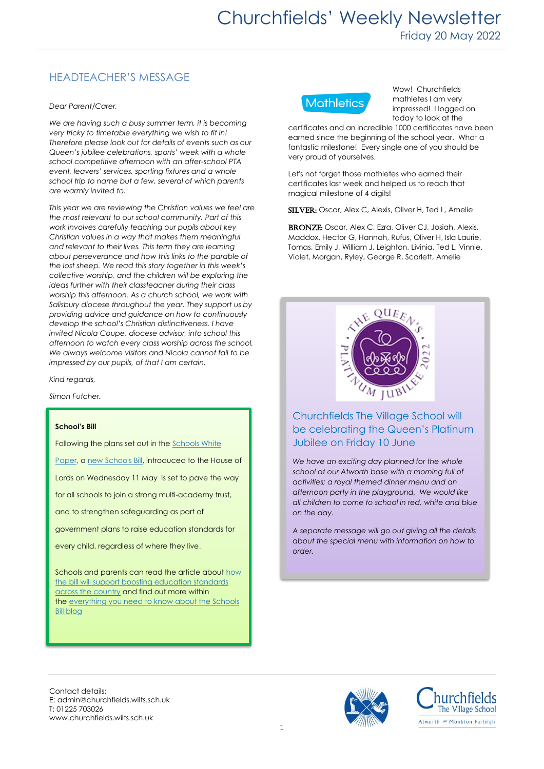## HEADTEACHER'S MESSAGE

#### *Dear Parent/Carer,*

*We are having such a busy summer term, it is becoming very tricky to timetable everything we wish to fit in! Therefore please look out for details of events such as our Queen's jubilee celebrations, sports' week with a whole school competitive afternoon with an after-school PTA event, leavers' services, sporting fixtures and a whole school trip to name but a few, several of which parents are warmly invited to.*

*This year we are reviewing the Christian values we feel are the most relevant to our school community. Part of this work involves carefully teaching our pupils about key Christian values in a way that makes them meaningful and relevant to their lives. This term they are learning about perseverance and how this links to the parable of the lost sheep. We read this story together in this week's collective worship, and the children will be exploring the ideas further with their classteacher during their class worship this afternoon. As a church school, we work with Salisbury diocese throughout the year. They support us by providing advice and guidance on how to continuously develop the school's Christian distinctiveness. I have invited Nicola Coupe, diocese advisor, into school this afternoon to watch every class worship across the school. We always welcome visitors and Nicola cannot fail to be impressed by our pupils, of that I am certain.*

*Kind regards,*

*Simon Futcher.*

#### **School's Bill**

Following the plans set out in the [Schools White](https://www.gov.uk/government/news/schools-white-paper-delivers-real-action-to-level-up-education?utm_source=17%20May%202022%20C19&utm_medium=Daily%20Email%20C19&utm_campaign=DfE%20C19)  [Paper,](https://www.gov.uk/government/news/schools-white-paper-delivers-real-action-to-level-up-education?utm_source=17%20May%202022%20C19&utm_medium=Daily%20Email%20C19&utm_campaign=DfE%20C19) a [new Schools Bill,](https://www.gov.uk/government/publications/schools-bill-policy-statements?utm_source=17%20May%202022%20C19&utm_medium=Daily%20Email%20C19&utm_campaign=DfE%20C19) introduced to the House of Lords on Wednesday 11 May is set to pave the way for all schools to join a strong multi-academy trust, and to strengthen safeguarding as part of government plans to raise education standards for every child, regardless of where they live.

Schools and parents can read the article about how [the bill will support boosting education standards](https://www.gov.uk/government/news/new-schools-bill-to-boost-education-standards-across-the-country?utm_source=17%20May%202022%20C19&utm_medium=Daily%20Email%20C19&utm_campaign=DfE%20C19)  [across the country](https://www.gov.uk/government/news/new-schools-bill-to-boost-education-standards-across-the-country?utm_source=17%20May%202022%20C19&utm_medium=Daily%20Email%20C19&utm_campaign=DfE%20C19) and find out more within the [everything you need to know about the Schools](https://educationhub.blog.gov.uk/2022/05/12/everything-you-need-to-know-about-the-schools-bill/?utm_source=17%20May%202022%20C19&utm_medium=Daily%20Email%20C19&utm_campaign=DfE%20C19)  [Bill blog](https://educationhub.blog.gov.uk/2022/05/12/everything-you-need-to-know-about-the-schools-bill/?utm_source=17%20May%202022%20C19&utm_medium=Daily%20Email%20C19&utm_campaign=DfE%20C19)



Wow! Churchfields mathletes I am very impressed! I logged on today to look at the

certificates and an incredible 1000 certificates have been earned since the beginning of the school year. What a fantastic milestone! Every single one of you should be very proud of yourselves.

Let's not forget those mathletes who earned their certificates last week and helped us to reach that magical milestone of 4 digits!

SILVER: Oscar, Alex C, Alexis, Oliver H, Ted L, Amelie

BRONZE: Oscar, Alex C, Ezra, Oliver CJ, Josiah, Alexis, Maddox, Hector G, Hannah, Rufus, Oliver H, Isla Laurie, Tomas, Emily J, William J, Leighton, Livinia, Ted L, Vinnie, Violet, Morgan, Ryley, George R, Scarlett, Amelie



### Churchfields The Village School will be celebrating the Queen's Platinum Jubilee on Friday 10 June

*We have an exciting day planned for the whole school at our Atworth base with a morning full of activities; a royal themed dinner menu and an afternoon party in the playground. We would like all children to come to school in red, white and blue on the day.* 

*A separate message will go out giving all the details about the special menu with information on how to order.* 

Contact details: E: admin@churchfields.wilts.sch.uk T: 01225 703026 www.churchfields.wilts.sch.uk



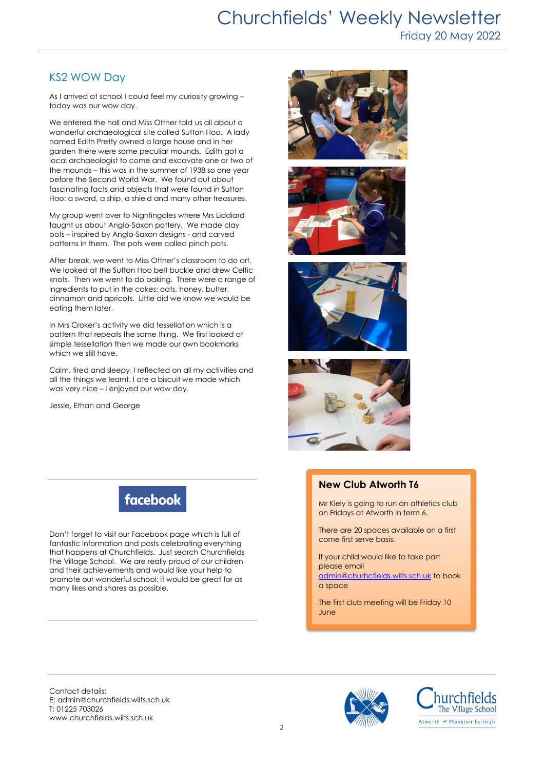# Churchfields' Weekly Newsletter Friday 20 May 2022

### KS2 WOW Day

As I arrived at school I could feel my curiosity growing – today was our wow day.

We entered the hall and Miss Ottner told us all about a wonderful archaeological site called Sutton Hoo. A lady named Edith Pretty owned a large house and in her garden there were some peculiar mounds. Edith got a local archaeologist to come and excavate one or two of the mounds – this was in the summer of 1938 so one year before the Second World War. We found out about fascinating facts and objects that were found in Sutton Hoo: a sword, a ship, a shield and many other treasures.

My group went over to Nightingales where Mrs Liddiard taught us about Anglo-Saxon pottery. We made clay pots – inspired by Anglo-Saxon designs - and carved patterns in them. The pots were called pinch pots.

After break, we went to Miss Ottner's classroom to do art. We looked at the Sutton Hoo belt buckle and drew Celtic knots. Then we went to do baking. There were a range of ingredients to put in the cakes: oats, honey, butter, cinnamon and apricots. Little did we know we would be eating them later.

In Mrs Croker's activity we did tessellation which is a pattern that repeats the same thing. We first looked at simple tessellation then we made our own bookmarks which we still have.

Calm, tired and sleepy, I reflected on all my activities and all the things we learnt. I ate a biscuit we made which was very nice – I enjoyed our wow day.

Jessie, Ethan and George









### **New Club Atworth T6**

Mr Kiely is going to run an athletics club on Fridays at Atworth in term 6.

There are 20 spaces available on a first come first serve basis.

If your child would like to take part please email [admin@churhcfields.wilts.sch.uk](mailto:admin@churhcfields.wilts.sch.uk) to book a space

The first club meeting will be Friday 10 June

facebook

Don't forget to visit our Facebook page which is full of fantastic information and posts celebrating everything that happens at Churchfields. Just search Churchfields The Village School. We are really proud of our children and their achievements and would like your help to promote our wonderful school; it would be great for as many likes and shares as possible.

Contact details: E: admin@churchfields.wilts.sch.uk T: 01225 703026 www.churchfields.wilts.sch.uk



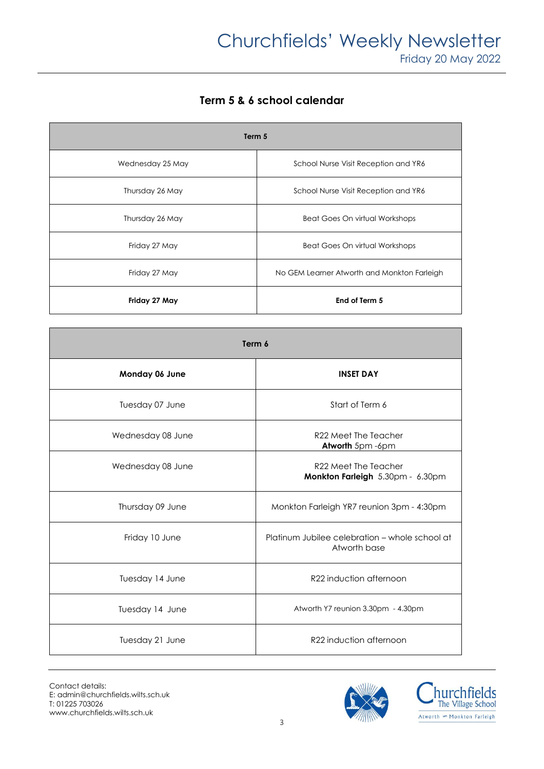**Term 5 & 6 school calendar**

| Term 5           |                                             |
|------------------|---------------------------------------------|
| Wednesday 25 May | School Nurse Visit Reception and YR6        |
| Thursday 26 May  | School Nurse Visit Reception and YR6        |
| Thursday 26 May  | <b>Beat Goes On virtual Workshops</b>       |
| Friday 27 May    | <b>Beat Goes On virtual Workshops</b>       |
| Friday 27 May    | No GEM Learner Atworth and Monkton Farleigh |
| Friday 27 May    | End of Term 5                               |

| Term 6            |                                                                |
|-------------------|----------------------------------------------------------------|
| Monday 06 June    | <b>INSET DAY</b>                                               |
| Tuesday 07 June   | Start of Term 6                                                |
| Wednesday 08 June | R22 Meet The Teacher<br>Atworth 5pm -6pm                       |
| Wednesday 08 June | R22 Meet The Teacher<br>Monkton Farleigh 5.30pm - 6.30pm       |
| Thursday 09 June  | Monkton Farleigh YR7 reunion 3pm - 4:30pm                      |
| Friday 10 June    | Platinum Jubilee celebration - whole school at<br>Atworth base |
| Tuesday 14 June   | R22 induction afternoon                                        |
| Tuesday 14 June   | Atworth Y7 reunion 3.30pm - 4.30pm                             |
| Tuesday 21 June   | R22 induction afternoon                                        |



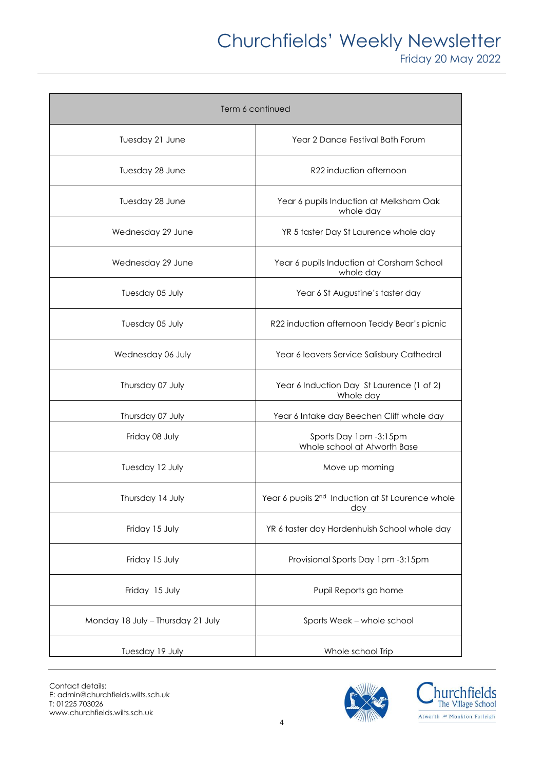# Churchfields' Weekly Newsletter

Friday 20 May 2022

| Term 6 continued                  |                                                                     |
|-----------------------------------|---------------------------------------------------------------------|
| Tuesday 21 June                   | Year 2 Dance Festival Bath Forum                                    |
| Tuesday 28 June                   | R22 induction afternoon                                             |
| Tuesday 28 June                   | Year 6 pupils Induction at Melksham Oak<br>whole day                |
| Wednesday 29 June                 | YR 5 taster Day St Laurence whole day                               |
| Wednesday 29 June                 | Year 6 pupils Induction at Corsham School<br>whole day              |
| Tuesday 05 July                   | Year 6 St Augustine's taster day                                    |
| Tuesday 05 July                   | R22 induction afternoon Teddy Bear's picnic                         |
| Wednesday 06 July                 | Year 6 leavers Service Salisbury Cathedral                          |
| Thursday 07 July                  | Year 6 Induction Day St Laurence (1 of 2)<br>Whole day              |
| Thursday 07 July                  | Year 6 Intake day Beechen Cliff whole day                           |
| Friday 08 July                    | Sports Day 1pm -3:15pm<br>Whole school at Atworth Base              |
| Tuesday 12 July                   | Move up morning                                                     |
| Thursday 14 July                  | Year 6 pupils 2 <sup>nd</sup> Induction at St Laurence whole<br>day |
| Friday 15 July                    | YR 6 taster day Hardenhuish School whole day                        |
| Friday 15 July                    | Provisional Sports Day 1pm -3:15pm                                  |
| Friday 15 July                    | Pupil Reports go home                                               |
| Monday 18 July - Thursday 21 July | Sports Week - whole school                                          |
| Tuesday 19 July                   | Whole school Trip                                                   |